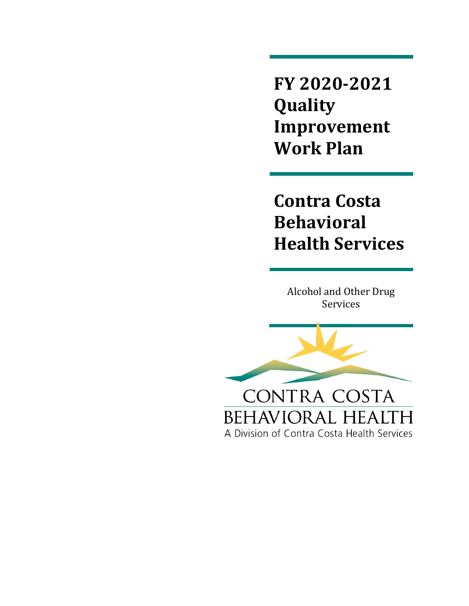**FY 2020-2021 Quality Improvement Work Plan**

**Contra Costa Behavioral Health Services**

Alcohol and Other Drug Services

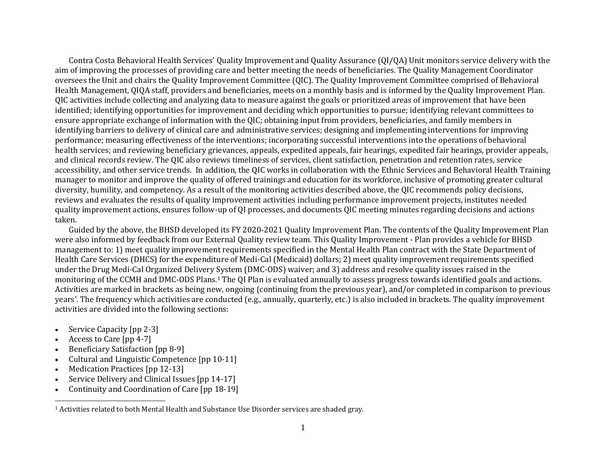Contra Costa Behavioral Health Services' Quality Improvement and Quality Assurance (QI/QA) Unit monitors service delivery with the aim of improving the processes of providing care and better meeting the needs of beneficiaries. The Quality Management Coordinator oversees the Unit and chairs the Quality Improvement Committee (QIC). The Quality Improvement Committee comprised of Behavioral Health Management, QIQA staff, providers and beneficiaries, meets on a monthly basis and is informed by the Quality Improvement Plan. QIC activities include collecting and analyzing data to measure against the goals or prioritized areas of improvement that have been identified; identifying opportunities for improvement and deciding which opportunities to pursue; identifying relevant committees to ensure appropriate exchange of information with the QIC; obtaining input from providers, beneficiaries, and family members in identifying barriers to delivery of clinical care and administrative services; designing and implementing interventions for improving performance; measuring effectiveness of the interventions; incorporating successful interventions into the operations of behavioral health services; and reviewing beneficiary grievances, appeals, expedited appeals, fair hearings, expedited fair hearings, provider appeals, and clinical records review. The QIC also reviews timeliness of services, client satisfaction, penetration and retention rates, service accessibility, and other service trends. In addition, the QIC works in collaboration with the Ethnic Services and Behavioral Health Training manager to monitor and improve the quality of offered trainings and education for its workforce, inclusive of promoting greater cultural diversity, humility, and competency. As a result of the monitoring activities described above, the QIC recommends policy decisions, reviews and evaluates the results of quality improvement activities including performance improvement projects, institutes needed quality improvement actions, ensures follow-up of QI processes, and documents QIC meeting minutes regarding decisions and actions taken.

Guided by the above, the BHSD developed its FY 2020-2021 Quality Improvement Plan. The contents of the Quality Improvement Plan were also informed by feedback from our External Quality review team. This Quality Improvement - Plan provides a vehicle for BHSD management to: 1) meet quality improvement requirements specified in the Mental Health Plan contract with the State Department of Health Care Services (DHCS) for the expenditure of Medi-Cal (Medicaid) dollars; 2) meet quality improvement requirements specified under the Drug Medi-Cal Organized Delivery System (DMC-ODS) waiver; and 3) address and resolve quality issues raised in the monitoring of the CCMH and DMC-ODS Plans.<sup>1</sup> The QI Plan is evaluated annually to assess progress towards identified goals and actions. Activities are marked in brackets as being new, ongoing (continuing from the previous year), and/or completed in comparison to previous years'. The frequency which activities are conducted (e.g., annually, quarterly, etc.) is also included in brackets. The quality improvement activities are divided into the following sections:

- Service Capacity [pp 2-3]
- Access to Care [pp 4-7]
- Beneficiary Satisfaction [pp 8-9]
- Cultural and Linguistic Competence [pp 10-11]
- Medication Practices [pp 12-13]
- Service Delivery and Clinical Issues [pp 14-17]
- Continuity and Coordination of Care [pp 18-19]

<sup>1</sup> Activities related to both Mental Health and Substance Use Disorder services are shaded gray.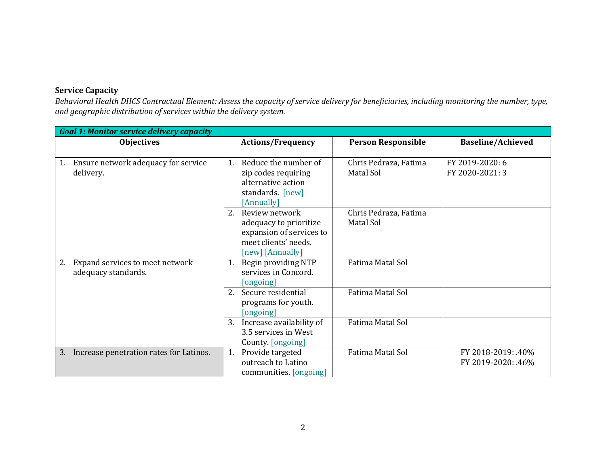## **Service Capacity**

*Behavioral Health DHCS Contractual Element: Assess the capacity of service delivery for beneficiaries, including monitoring the number, type, and geographic distribution of services within the delivery system.*

| <b>Goal 1: Monitor service delivery capacity</b> |                                                    |                                    |                          |
|--------------------------------------------------|----------------------------------------------------|------------------------------------|--------------------------|
| <b>Objectives</b>                                | <b>Actions/Frequency</b>                           | <b>Person Responsible</b>          | <b>Baseline/Achieved</b> |
|                                                  |                                                    |                                    |                          |
| Ensure network adequacy for service<br>1.        | Reduce the number of<br>1.                         | Chris Pedraza, Fatima              | FY 2019-2020: 6          |
| delivery.                                        | zip codes requiring                                | Matal Sol                          | FY 2020-2021: 3          |
|                                                  | alternative action                                 |                                    |                          |
|                                                  | standards. [new]                                   |                                    |                          |
|                                                  | [Annually]<br>2.<br>Review network                 |                                    |                          |
|                                                  |                                                    | Chris Pedraza, Fatima<br>Matal Sol |                          |
|                                                  | adequacy to prioritize<br>expansion of services to |                                    |                          |
|                                                  | meet clients' needs.                               |                                    |                          |
|                                                  | [new] [Annually]                                   |                                    |                          |
| Expand services to meet network<br>2.            | Begin providing NTP<br>1.                          | Fatima Matal Sol                   |                          |
| adequacy standards.                              | services in Concord.                               |                                    |                          |
|                                                  | ongoing                                            |                                    |                          |
|                                                  | Secure residential<br>2.                           | Fatima Matal Sol                   |                          |
|                                                  | programs for youth.                                |                                    |                          |
|                                                  | [ongoing]                                          |                                    |                          |
|                                                  | 3.<br>Increase availability of                     | Fatima Matal Sol                   |                          |
|                                                  | 3.5 services in West                               |                                    |                          |
|                                                  | County. [ongoing]                                  |                                    |                          |
| Increase penetration rates for Latinos.<br>3.    | Provide targeted<br>1.                             | Fatima Matal Sol                   | FY 2018-2019: .40%       |
|                                                  | outreach to Latino                                 |                                    | FY 2019-2020: .46%       |
|                                                  | communities. [ongoing]                             |                                    |                          |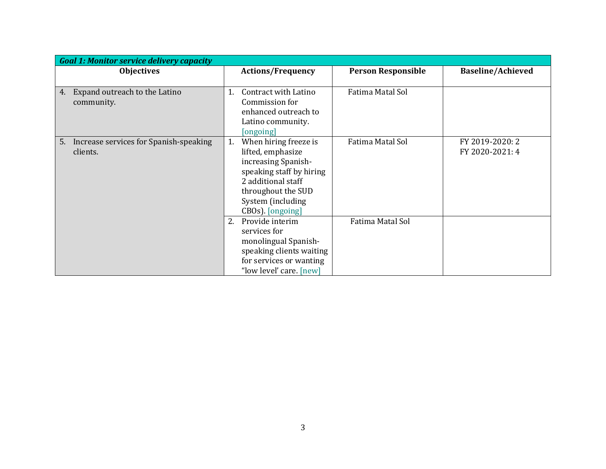| <b>Goal 1: Monitor service delivery capacity</b>         |                                                                                                                                                                                          |                           |                                    |  |
|----------------------------------------------------------|------------------------------------------------------------------------------------------------------------------------------------------------------------------------------------------|---------------------------|------------------------------------|--|
| <b>Objectives</b>                                        | <b>Actions/Frequency</b>                                                                                                                                                                 | <b>Person Responsible</b> | <b>Baseline/Achieved</b>           |  |
| Expand outreach to the Latino<br>4.<br>community.        | Contract with Latino<br>1.<br>Commission for<br>enhanced outreach to<br>Latino community.<br>[ongoing]                                                                                   | Fatima Matal Sol          |                                    |  |
| Increase services for Spanish-speaking<br>5.<br>clients. | When hiring freeze is<br>1.<br>lifted, emphasize<br>increasing Spanish-<br>speaking staff by hiring<br>2 additional staff<br>throughout the SUD<br>System (including<br>CBOs). [ongoing] | Fatima Matal Sol          | FY 2019-2020: 2<br>FY 2020-2021: 4 |  |
|                                                          | Provide interim<br>2.<br>services for<br>monolingual Spanish-<br>speaking clients waiting<br>for services or wanting<br>"low level' care. [new]                                          | Fatima Matal Sol          |                                    |  |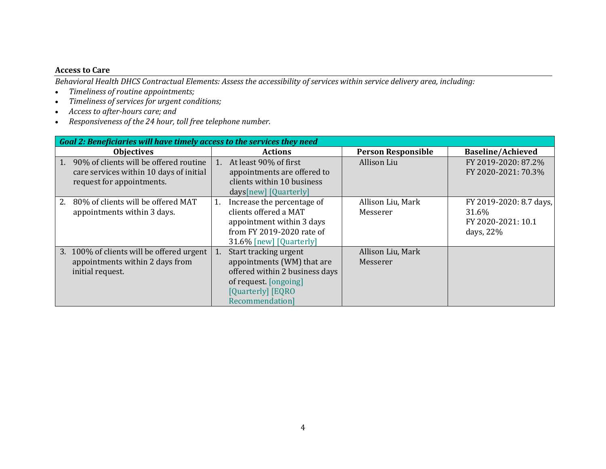### **Access to Care**

*Behavioral Health DHCS Contractual Elements: Assess the accessibility of services within service delivery area, including:*

- *Timeliness of routine appointments;*
- *Timeliness of services for urgent conditions;*
- *Access to after-hours care; and*
- *Responsiveness of the 24 hour, toll free telephone number.*

| Goal 2: Beneficiaries will have timely access to the services they need                                              |                                                                                                                                                             |                               |                                                                     |  |
|----------------------------------------------------------------------------------------------------------------------|-------------------------------------------------------------------------------------------------------------------------------------------------------------|-------------------------------|---------------------------------------------------------------------|--|
| <b>Objectives</b>                                                                                                    | <b>Actions</b>                                                                                                                                              | <b>Person Responsible</b>     | <b>Baseline/Achieved</b>                                            |  |
| 90% of clients will be offered routine<br>1.<br>care services within 10 days of initial<br>request for appointments. | 1. At least 90% of first<br>appointments are offered to<br>clients within 10 business<br>days[new] [Quarterly]                                              | Allison Liu                   | FY 2019-2020: 87.2%<br>FY 2020-2021: 70.3%                          |  |
| 80% of clients will be offered MAT<br>2.<br>appointments within 3 days.                                              | Increase the percentage of<br>1.<br>clients offered a MAT<br>appointment within 3 days<br>from FY 2019-2020 rate of<br>31.6% [new] [Quarterly]              | Allison Liu, Mark<br>Messerer | FY 2019-2020: 8.7 days,<br>31.6%<br>FY 2020-2021: 10.1<br>days, 22% |  |
| 3. 100% of clients will be offered urgent<br>appointments within 2 days from<br>initial request.                     | Start tracking urgent<br>1.<br>appointments (WM) that are<br>offered within 2 business days<br>of request. [ongoing]<br>[Quarterly] [EQRO<br>Recommendation | Allison Liu, Mark<br>Messerer |                                                                     |  |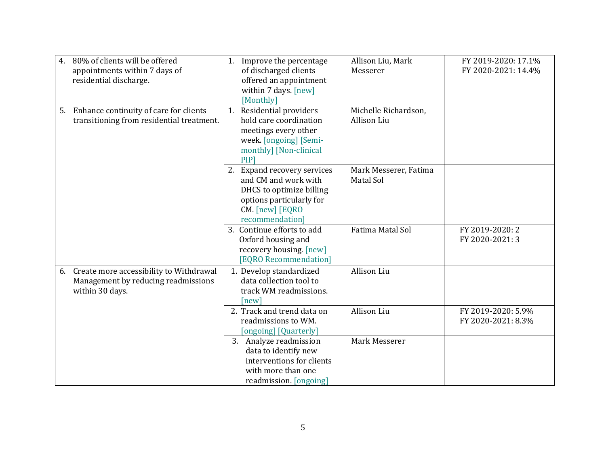| 4. | 80% of clients will be offered<br>appointments within 7 days of<br>residential discharge.         | 1. Improve the percentage<br>of discharged clients<br>offered an appointment<br>within 7 days. [new]<br>[Monthly]                                  | Allison Liu, Mark<br>Messerer       | FY 2019-2020: 17.1%<br>FY 2020-2021: 14.4% |
|----|---------------------------------------------------------------------------------------------------|----------------------------------------------------------------------------------------------------------------------------------------------------|-------------------------------------|--------------------------------------------|
|    | 5. Enhance continuity of care for clients<br>transitioning from residential treatment.            | 1. Residential providers<br>hold care coordination<br>meetings every other<br>week. [ongoing] [Semi-<br>monthly] [Non-clinical<br>PIP <sub>1</sub> | Michelle Richardson,<br>Allison Liu |                                            |
|    |                                                                                                   | 2. Expand recovery services<br>and CM and work with<br>DHCS to optimize billing<br>options particularly for<br>CM. [new] [EQRO<br>recommendation]  | Mark Messerer, Fatima<br>Matal Sol  |                                            |
|    |                                                                                                   | 3. Continue efforts to add<br>Oxford housing and<br>recovery housing. [new]<br>[EQRO Recommendation]                                               | Fatima Matal Sol                    | FY 2019-2020: 2<br>FY 2020-2021: 3         |
| 6. | Create more accessibility to Withdrawal<br>Management by reducing readmissions<br>within 30 days. | 1. Develop standardized<br>data collection tool to<br>track WM readmissions.<br>[new]                                                              | Allison Liu                         |                                            |
|    |                                                                                                   | 2. Track and trend data on<br>readmissions to WM.<br>[ongoing] [Quarterly]                                                                         | Allison Liu                         | FY 2019-2020: 5.9%<br>FY 2020-2021: 8.3%   |
|    |                                                                                                   | 3. Analyze readmission<br>data to identify new<br>interventions for clients<br>with more than one<br>readmission. [ongoing]                        | Mark Messerer                       |                                            |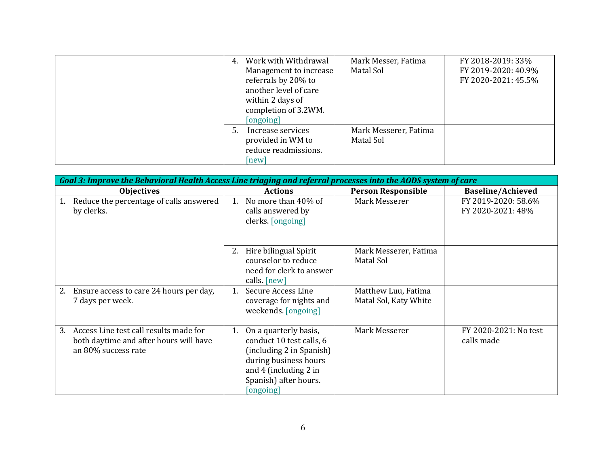| 4. | Work with Withdrawal   | Mark Messer, Fatima   | FY 2018-2019: 33%   |
|----|------------------------|-----------------------|---------------------|
|    | Management to increase | Matal Sol             | FY 2019-2020: 40.9% |
|    | referrals by 20% to    |                       | FY 2020-2021: 45.5% |
|    | another level of care  |                       |                     |
|    | within 2 days of       |                       |                     |
|    | completion of 3.2WM.   |                       |                     |
|    | [ongoing]              |                       |                     |
| 5. | Increase services      | Mark Messerer, Fatima |                     |
|    | provided in WM to      | Matal Sol             |                     |
|    | reduce readmissions.   |                       |                     |
|    | [new]                  |                       |                     |

| Goal 3: Improve the Behavioral Health Access Line triaging and referral processes into the AODS system of care |                                                                                                                                                                             |                                              |                                          |
|----------------------------------------------------------------------------------------------------------------|-----------------------------------------------------------------------------------------------------------------------------------------------------------------------------|----------------------------------------------|------------------------------------------|
| <b>Objectives</b>                                                                                              | <b>Actions</b>                                                                                                                                                              | <b>Person Responsible</b>                    | <b>Baseline/Achieved</b>                 |
| Reduce the percentage of calls answered<br>by clerks.                                                          | No more than 40% of<br>calls answered by<br>clerks. [ongoing]                                                                                                               | Mark Messerer                                | FY 2019-2020: 58.6%<br>FY 2020-2021: 48% |
|                                                                                                                | Hire bilingual Spirit<br>2.<br>counselor to reduce<br>need for clerk to answer<br>calls. [new]                                                                              | Mark Messerer, Fatima<br>Matal Sol           |                                          |
| Ensure access to care 24 hours per day,<br>2.<br>7 days per week.                                              | Secure Access Line<br>$\mathbf{1}$ .<br>coverage for nights and<br>weekends. [ongoing]                                                                                      | Matthew Luu, Fatima<br>Matal Sol, Katy White |                                          |
| Access Line test call results made for<br>3.<br>both daytime and after hours will have<br>an 80% success rate  | On a quarterly basis,<br>1.<br>conduct 10 test calls, 6<br>(including 2 in Spanish)<br>during business hours<br>and 4 (including 2 in<br>Spanish) after hours.<br>[ongoing] | Mark Messerer                                | FY 2020-2021: No test<br>calls made      |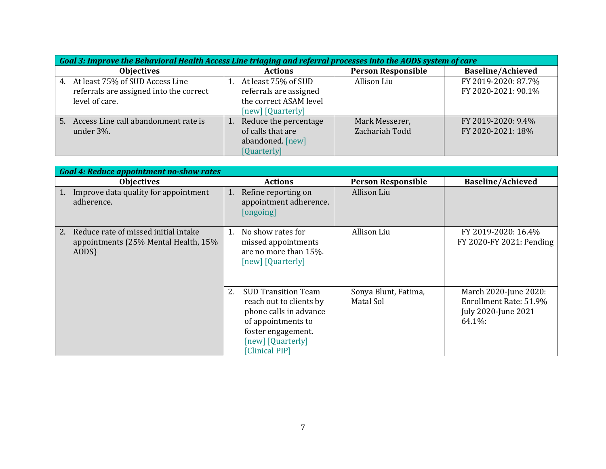| Goal 3: Improve the Behavioral Health Access Line triaging and referral processes into the AODS system of care |                                                                                              |                                  |                                            |  |
|----------------------------------------------------------------------------------------------------------------|----------------------------------------------------------------------------------------------|----------------------------------|--------------------------------------------|--|
| <b>Objectives</b>                                                                                              | <b>Actions</b>                                                                               | <b>Person Responsible</b>        | <b>Baseline/Achieved</b>                   |  |
| At least 75% of SUD Access Line<br>4.<br>referrals are assigned into the correct<br>level of care.             | At least 75% of SUD<br>referrals are assigned<br>the correct ASAM level<br>[new] [Quarterly] | Allison Liu                      | FY 2019-2020: 87.7%<br>FY 2020-2021: 90.1% |  |
| Access Line call abandonment rate is<br>5.<br>under 3%.                                                        | Reduce the percentage<br>of calls that are<br>abandoned. [new]<br>[Quarterly]                | Mark Messerer,<br>Zachariah Todd | FY 2019-2020: 9.4%<br>FY 2020-2021: 18%    |  |

| <b>Goal 4: Reduce appointment no-show rates</b>                                             |                                                                                                                                                                          |                                   |                                                                                  |  |
|---------------------------------------------------------------------------------------------|--------------------------------------------------------------------------------------------------------------------------------------------------------------------------|-----------------------------------|----------------------------------------------------------------------------------|--|
| <b>Objectives</b>                                                                           | <b>Actions</b>                                                                                                                                                           | <b>Person Responsible</b>         | <b>Baseline/Achieved</b>                                                         |  |
| Improve data quality for appointment<br>adherence.                                          | Refine reporting on<br>1.<br>appointment adherence.<br>[ongoing]                                                                                                         | Allison Liu                       |                                                                                  |  |
| Reduce rate of missed initial intake<br>2.<br>appointments (25% Mental Health, 15%<br>AODS) | No show rates for<br>1.<br>missed appointments<br>are no more than 15%.<br>[new] [Quarterly]                                                                             | Allison Liu                       | FY 2019-2020: 16.4%<br>FY 2020-FY 2021: Pending                                  |  |
|                                                                                             | 2.<br><b>SUD Transition Team</b><br>reach out to clients by<br>phone calls in advance<br>of appointments to<br>foster engagement.<br>[new] [Quarterly]<br>[Clinical PIP] | Sonya Blunt, Fatima,<br>Matal Sol | March 2020-June 2020:<br>Enrollment Rate: 51.9%<br>July 2020-June 2021<br>64.1%: |  |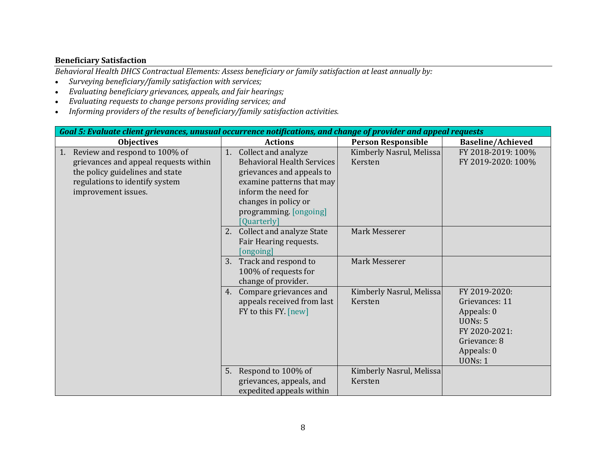### **Beneficiary Satisfaction**

*Behavioral Health DHCS Contractual Elements: Assess beneficiary or family satisfaction at least annually by:*

- *Surveying beneficiary/family satisfaction with services;*
- *Evaluating beneficiary grievances, appeals, and fair hearings;*
- *Evaluating requests to change persons providing services; and*
- *Informing providers of the results of beneficiary/family satisfaction activities.*

| Goal 5: Evaluate client grievances, unusual occurrence notifications, and change of provider and appeal requests                                                         |                                                                                                                                                                                                   |                                     |                                                                                                                                  |
|--------------------------------------------------------------------------------------------------------------------------------------------------------------------------|---------------------------------------------------------------------------------------------------------------------------------------------------------------------------------------------------|-------------------------------------|----------------------------------------------------------------------------------------------------------------------------------|
| <b>Objectives</b>                                                                                                                                                        | <b>Actions</b>                                                                                                                                                                                    | <b>Person Responsible</b>           | <b>Baseline/Achieved</b>                                                                                                         |
| Review and respond to 100% of<br>1.<br>grievances and appeal requests within<br>the policy guidelines and state<br>regulations to identify system<br>improvement issues. | Collect and analyze<br>1.<br><b>Behavioral Health Services</b><br>grievances and appeals to<br>examine patterns that may<br>inform the need for<br>changes in policy or<br>programming. [ongoing] | Kimberly Nasrul, Melissa<br>Kersten | FY 2018-2019: 100%<br>FY 2019-2020: 100%                                                                                         |
|                                                                                                                                                                          | [Quarterly]<br>2.<br><b>Collect and analyze State</b><br>Fair Hearing requests.<br>[ongoing]<br>Track and respond to<br>3.<br>100% of requests for                                                | Mark Messerer<br>Mark Messerer      |                                                                                                                                  |
|                                                                                                                                                                          | change of provider.<br>Compare grievances and<br>4.<br>appeals received from last<br>FY to this FY. [new]                                                                                         | Kimberly Nasrul, Melissa<br>Kersten | FY 2019-2020:<br>Grievances: 11<br>Appeals: 0<br><b>UONs: 5</b><br>FY 2020-2021:<br>Grievance: 8<br>Appeals: 0<br><b>UONs: 1</b> |
|                                                                                                                                                                          | 5. Respond to 100% of<br>grievances, appeals, and<br>expedited appeals within                                                                                                                     | Kimberly Nasrul, Melissa<br>Kersten |                                                                                                                                  |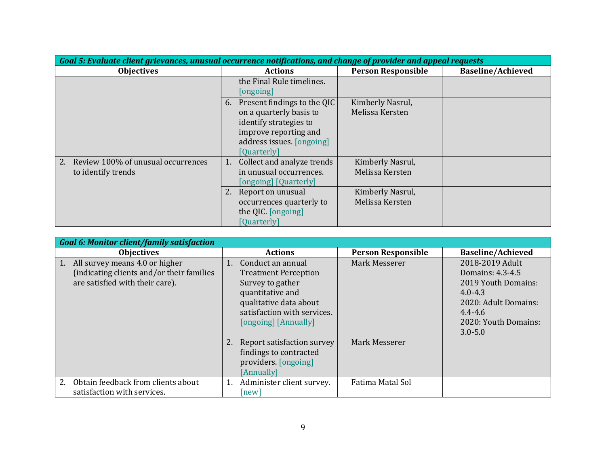| Goal 5: Evaluate client grievances, unusual occurrence notifications, and change of provider and appeal requests |                                                                                                                                                             |                                     |                          |  |
|------------------------------------------------------------------------------------------------------------------|-------------------------------------------------------------------------------------------------------------------------------------------------------------|-------------------------------------|--------------------------|--|
| <b>Objectives</b>                                                                                                | <b>Actions</b>                                                                                                                                              | <b>Person Responsible</b>           | <b>Baseline/Achieved</b> |  |
|                                                                                                                  | the Final Rule timelines.<br>[ongoing]                                                                                                                      |                                     |                          |  |
|                                                                                                                  | Present findings to the QIC<br>6.<br>on a quarterly basis to<br>identify strategies to<br>improve reporting and<br>address issues. [ongoing]<br>[Quarterly] | Kimberly Nasrul,<br>Melissa Kersten |                          |  |
| 2.<br>Review 100% of unusual occurrences<br>to identify trends                                                   | Collect and analyze trends<br>1.<br>in unusual occurrences.<br>[ongoing] [Quarterly]                                                                        | Kimberly Nasrul,<br>Melissa Kersten |                          |  |
|                                                                                                                  | Report on unusual<br>occurrences quarterly to<br>the QIC. [ongoing]<br>[Quarterly]                                                                          | Kimberly Nasrul,<br>Melissa Kersten |                          |  |

| <b>Goal 6: Monitor client/family satisfaction</b>                                                               |                                                                                                                                                                                 |                           |                                                                                                                                                         |  |
|-----------------------------------------------------------------------------------------------------------------|---------------------------------------------------------------------------------------------------------------------------------------------------------------------------------|---------------------------|---------------------------------------------------------------------------------------------------------------------------------------------------------|--|
| <b>Objectives</b>                                                                                               | <b>Actions</b>                                                                                                                                                                  | <b>Person Responsible</b> | <b>Baseline/Achieved</b>                                                                                                                                |  |
| All survey means 4.0 or higher<br>(indicating clients and/or their families)<br>are satisfied with their care). | Conduct an annual<br>1.<br><b>Treatment Perception</b><br>Survey to gather<br>quantitative and<br>qualitative data about<br>satisfaction with services.<br>[ongoing] [Annually] | Mark Messerer             | 2018-2019 Adult<br>Domains: 4.3-4.5<br>2019 Youth Domains:<br>$4.0 - 4.3$<br>2020: Adult Domains:<br>$4.4 - 4.6$<br>2020: Youth Domains:<br>$3.0 - 5.0$ |  |
|                                                                                                                 | 2. Report satisfaction survey<br>findings to contracted<br>providers. [ongoing]<br>[Annually]                                                                                   | Mark Messerer             |                                                                                                                                                         |  |
| Obtain feedback from clients about<br>2.<br>satisfaction with services.                                         | Administer client survey.<br>1.<br> new                                                                                                                                         | Fatima Matal Sol          |                                                                                                                                                         |  |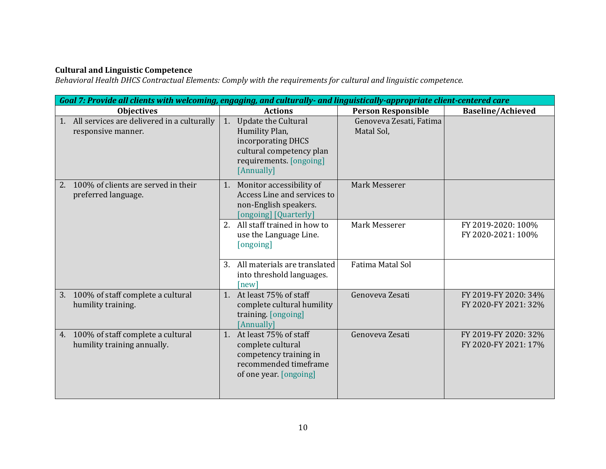#### **Cultural and Linguistic Competence**

*Behavioral Health DHCS Contractual Elements: Comply with the requirements for cultural and linguistic competence.*

| Goal 7: Provide all clients with welcoming, engaging, and culturally- and linguistically-appropriate client-centered care |                                                                                                                                                                                 |                                              |  |
|---------------------------------------------------------------------------------------------------------------------------|---------------------------------------------------------------------------------------------------------------------------------------------------------------------------------|----------------------------------------------|--|
| <b>Objectives</b>                                                                                                         | <b>Person Responsible</b><br><b>Actions</b>                                                                                                                                     | <b>Baseline/Achieved</b>                     |  |
| 1. All services are delivered in a culturally<br>responsive manner.                                                       | Update the Cultural<br>Genoveva Zesati, Fatima<br>1.<br>Humility Plan,<br>Matal Sol,<br>incorporating DHCS<br>cultural competency plan<br>requirements. [ongoing]<br>[Annually] |                                              |  |
| 2. 100% of clients are served in their<br>preferred language.                                                             | 1. Monitor accessibility of<br>Mark Messerer<br>Access Line and services to<br>non-English speakers.<br>[ongoing] [Quarterly]                                                   |                                              |  |
|                                                                                                                           | 2. All staff trained in how to<br>Mark Messerer<br>use the Language Line.<br>[ongoing]                                                                                          | FY 2019-2020: 100%<br>FY 2020-2021: 100%     |  |
|                                                                                                                           | 3. All materials are translated<br><b>Fatima Matal Sol</b><br>into threshold languages.<br>[new]                                                                                |                                              |  |
| 3. 100% of staff complete a cultural<br>humility training.                                                                | At least 75% of staff<br>Genoveva Zesati<br>$1_{\cdot}$<br>complete cultural humility<br>training. [ongoing]<br>[Annually]                                                      | FY 2019-FY 2020: 34%<br>FY 2020-FY 2021: 32% |  |
| 4. 100% of staff complete a cultural<br>humility training annually.                                                       | 1. At least 75% of staff<br>Genoveva Zesati<br>complete cultural<br>competency training in<br>recommended timeframe<br>of one year. [ongoing]                                   | FY 2019-FY 2020: 32%<br>FY 2020-FY 2021: 17% |  |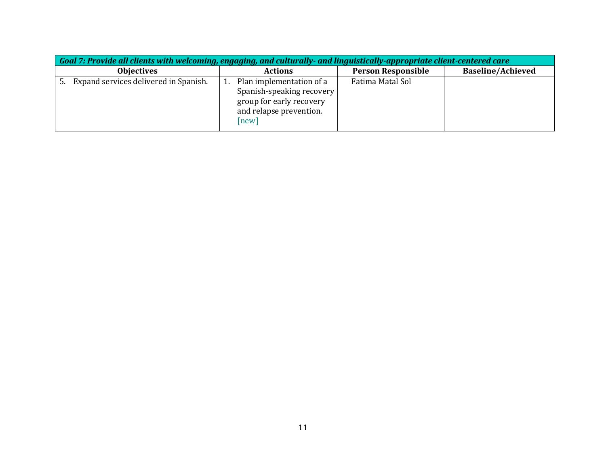| Goal 7: Provide all clients with welcoming, engaging, and culturally- and linguistically-appropriate client-centered care |                                                                                                                       |                           |                          |  |  |
|---------------------------------------------------------------------------------------------------------------------------|-----------------------------------------------------------------------------------------------------------------------|---------------------------|--------------------------|--|--|
| <b>Objectives</b>                                                                                                         | <b>Actions</b>                                                                                                        | <b>Person Responsible</b> | <b>Baseline/Achieved</b> |  |  |
| Expand services delivered in Spanish.<br>5.                                                                               | Plan implementation of a<br>Spanish-speaking recovery<br>group for early recovery<br>and relapse prevention.<br>[new] | Fatima Matal Sol          |                          |  |  |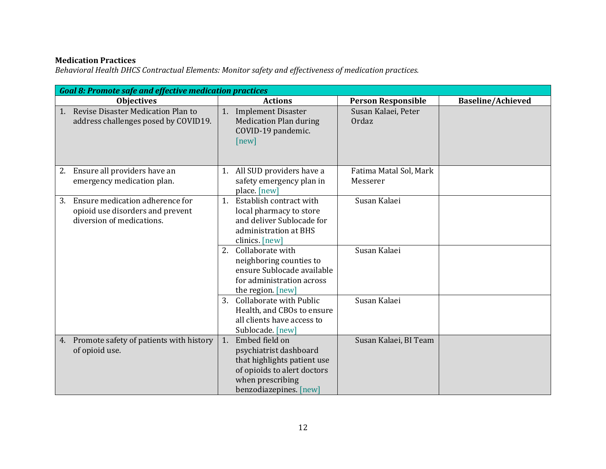# **Medication Practices**

*Behavioral Health DHCS Contractual Elements: Monitor safety and effectiveness of medication practices.*

| <b>Goal 8: Promote safe and effective medication practices</b>                                         |                                                                                                                                                            |                                    |                          |
|--------------------------------------------------------------------------------------------------------|------------------------------------------------------------------------------------------------------------------------------------------------------------|------------------------------------|--------------------------|
| <b>Objectives</b>                                                                                      | <b>Actions</b>                                                                                                                                             | <b>Person Responsible</b>          | <b>Baseline/Achieved</b> |
| Revise Disaster Medication Plan to<br>1.<br>address challenges posed by COVID19.                       | 1. Implement Disaster<br><b>Medication Plan during</b><br>COVID-19 pandemic.<br>[new]                                                                      | Susan Kalaei, Peter<br>Ordaz       |                          |
| Ensure all providers have an<br>2.<br>emergency medication plan.                                       | 1. All SUD providers have a<br>safety emergency plan in<br>place. [new]                                                                                    | Fatima Matal Sol, Mark<br>Messerer |                          |
| Ensure medication adherence for<br>3.<br>opioid use disorders and prevent<br>diversion of medications. | Establish contract with<br>1 <sub>1</sub><br>local pharmacy to store<br>and deliver Sublocade for<br>administration at BHS<br>clinics. [new]               | Susan Kalaei                       |                          |
|                                                                                                        | Collaborate with<br>2.<br>neighboring counties to<br>ensure Sublocade available<br>for administration across<br>the region. [new]                          | Susan Kalaei                       |                          |
|                                                                                                        | 3. Collaborate with Public<br>Health, and CBOs to ensure<br>all clients have access to<br>Sublocade. [new]                                                 | Susan Kalaei                       |                          |
| 4. Promote safety of patients with history<br>of opioid use.                                           | 1.<br>Embed field on<br>psychiatrist dashboard<br>that highlights patient use<br>of opioids to alert doctors<br>when prescribing<br>benzodiazepines. [new] | Susan Kalaei, BI Team              |                          |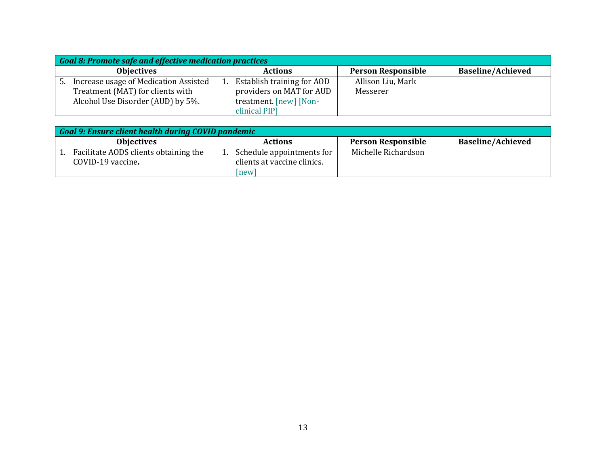|    | <b>Goal 8: Promote safe and effective medication practices</b> |  |                            |                   |                           |  |                          |
|----|----------------------------------------------------------------|--|----------------------------|-------------------|---------------------------|--|--------------------------|
|    | <b>Objectives</b>                                              |  | <b>Actions</b>             |                   | <b>Person Responsible</b> |  | <b>Baseline/Achieved</b> |
| 5. | Increase usage of Medication Assisted                          |  | Establish training for AOD | Allison Liu, Mark |                           |  |                          |
|    | Treatment (MAT) for clients with                               |  | providers on MAT for AUD   | Messerer          |                           |  |                          |
|    | Alcohol Use Disorder (AUD) by 5%.                              |  | treatment. [new] [Non-     |                   |                           |  |                          |
|    |                                                                |  | clinical PIP]              |                   |                           |  |                          |

| Goal 9: Ensure client health during COVID pandemic         |                                                                 |                           |                          |  |  |  |
|------------------------------------------------------------|-----------------------------------------------------------------|---------------------------|--------------------------|--|--|--|
| <b>Objectives</b>                                          | <b>Actions</b>                                                  | <b>Person Responsible</b> | <b>Baseline/Achieved</b> |  |  |  |
| Facilitate AODS clients obtaining the<br>COVID-19 vaccine. | Schedule appointments for<br>clients at vaccine clinics.<br>new | Michelle Richardson       |                          |  |  |  |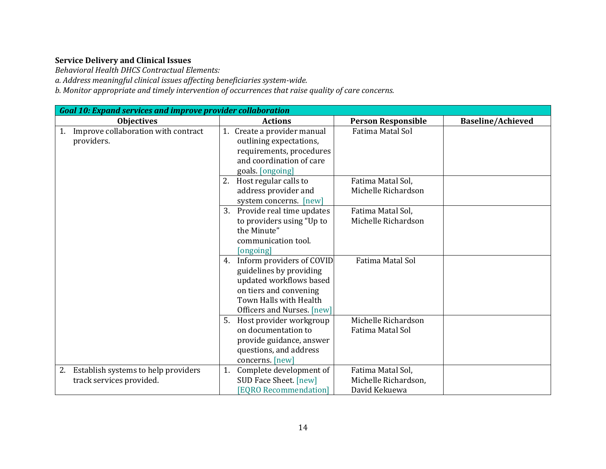# **Service Delivery and Clinical Issues**

*Behavioral Health DHCS Contractual Elements:* 

*a. Address meaningful clinical issues affecting beneficiaries system-wide.* 

*b. Monitor appropriate and timely intervention of occurrences that raise quality of care concerns.* 

|                                                                       | <b>Goal 10: Expand services and improve provider collaboration</b> |                                                                                                                                                                   |                                                            |                          |  |  |
|-----------------------------------------------------------------------|--------------------------------------------------------------------|-------------------------------------------------------------------------------------------------------------------------------------------------------------------|------------------------------------------------------------|--------------------------|--|--|
| <b>Objectives</b>                                                     |                                                                    | <b>Actions</b>                                                                                                                                                    | <b>Person Responsible</b>                                  | <b>Baseline/Achieved</b> |  |  |
| Improve collaboration with contract<br>1.<br>providers.               |                                                                    | 1. Create a provider manual<br>outlining expectations,<br>requirements, procedures<br>and coordination of care<br>goals. [ongoing]                                | <b>Fatima Matal Sol</b>                                    |                          |  |  |
|                                                                       |                                                                    | 2. Host regular calls to<br>address provider and<br>system concerns. [new]                                                                                        | Fatima Matal Sol,<br>Michelle Richardson                   |                          |  |  |
|                                                                       | 3.                                                                 | Provide real time updates<br>to providers using "Up to<br>the Minute"<br>communication tool.<br>[ongoing]                                                         | Fatima Matal Sol,<br>Michelle Richardson                   |                          |  |  |
|                                                                       | 4.                                                                 | Inform providers of COVID<br>guidelines by providing<br>updated workflows based<br>on tiers and convening<br>Town Halls with Health<br>Officers and Nurses. [new] | <b>Fatima Matal Sol</b>                                    |                          |  |  |
|                                                                       | 5.                                                                 | Host provider workgroup<br>on documentation to<br>provide guidance, answer<br>questions, and address<br>concerns. [new]                                           | Michelle Richardson<br>Fatima Matal Sol                    |                          |  |  |
| Establish systems to help providers<br>2.<br>track services provided. | 1.                                                                 | Complete development of<br>SUD Face Sheet. [new]<br><b>[EQRO Recommendation]</b>                                                                                  | Fatima Matal Sol,<br>Michelle Richardson,<br>David Kekuewa |                          |  |  |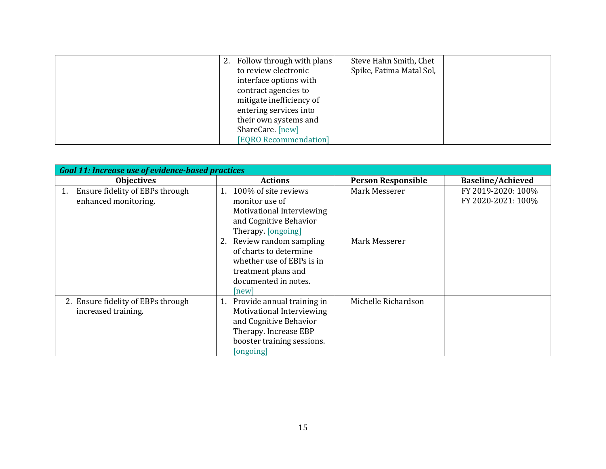| 2. Follow through with plans | Steve Hahn Smith, Chet   |  |
|------------------------------|--------------------------|--|
| to review electronic         | Spike, Fatima Matal Sol, |  |
| interface options with       |                          |  |
| contract agencies to         |                          |  |
| mitigate inefficiency of     |                          |  |
| entering services into       |                          |  |
| their own systems and        |                          |  |
| ShareCare. [new]             |                          |  |
| [EQRO Recommendation]        |                          |  |

|                                       | <b>Goal 11: Increase use of evidence-based practices</b> |                           |                          |  |  |  |  |
|---------------------------------------|----------------------------------------------------------|---------------------------|--------------------------|--|--|--|--|
| <b>Objectives</b>                     | <b>Actions</b>                                           | <b>Person Responsible</b> | <b>Baseline/Achieved</b> |  |  |  |  |
| Ensure fidelity of EBPs through<br>1. | 100% of site reviews<br>1.                               | Mark Messerer             | FY 2019-2020: 100%       |  |  |  |  |
| enhanced monitoring.                  | monitor use of                                           |                           | FY 2020-2021: 100%       |  |  |  |  |
|                                       | Motivational Interviewing                                |                           |                          |  |  |  |  |
|                                       | and Cognitive Behavior                                   |                           |                          |  |  |  |  |
|                                       | Therapy. [ongoing]                                       |                           |                          |  |  |  |  |
|                                       | 2. Review random sampling                                | Mark Messerer             |                          |  |  |  |  |
|                                       | of charts to determine                                   |                           |                          |  |  |  |  |
|                                       | whether use of EBPs is in                                |                           |                          |  |  |  |  |
|                                       | treatment plans and                                      |                           |                          |  |  |  |  |
|                                       | documented in notes.                                     |                           |                          |  |  |  |  |
|                                       | new                                                      |                           |                          |  |  |  |  |
| 2. Ensure fidelity of EBPs through    | 1. Provide annual training in                            | Michelle Richardson       |                          |  |  |  |  |
| increased training.                   | Motivational Interviewing                                |                           |                          |  |  |  |  |
|                                       | and Cognitive Behavior                                   |                           |                          |  |  |  |  |
|                                       | Therapy. Increase EBP                                    |                           |                          |  |  |  |  |
|                                       | booster training sessions.                               |                           |                          |  |  |  |  |
|                                       | [ongoing]                                                |                           |                          |  |  |  |  |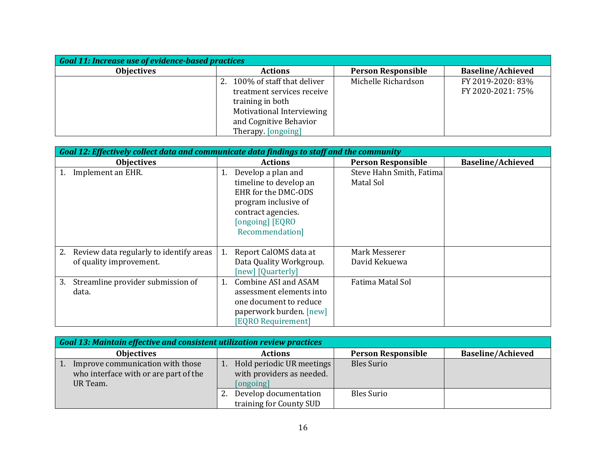| <b>Goal 11: Increase use of evidence-based practices</b> |                               |                           |                          |  |  |  |
|----------------------------------------------------------|-------------------------------|---------------------------|--------------------------|--|--|--|
| <b>Objectives</b>                                        | <b>Actions</b>                | <b>Person Responsible</b> | <b>Baseline/Achieved</b> |  |  |  |
|                                                          | 2. 100% of staff that deliver | Michelle Richardson       | FY 2019-2020: 83%        |  |  |  |
|                                                          | treatment services receive    |                           | FY 2020-2021: 75%        |  |  |  |
|                                                          | training in both              |                           |                          |  |  |  |
|                                                          | Motivational Interviewing     |                           |                          |  |  |  |
|                                                          | and Cognitive Behavior        |                           |                          |  |  |  |
|                                                          | Therapy. [ongoing]            |                           |                          |  |  |  |

|                                                                    | Goal 12: Effectively collect data and communicate data findings to staff and the community                                                                     |                                       |                          |  |  |  |
|--------------------------------------------------------------------|----------------------------------------------------------------------------------------------------------------------------------------------------------------|---------------------------------------|--------------------------|--|--|--|
| <b>Objectives</b>                                                  | <b>Actions</b>                                                                                                                                                 | <b>Person Responsible</b>             | <b>Baseline/Achieved</b> |  |  |  |
| Implement an EHR.                                                  | Develop a plan and<br>1.<br>timeline to develop an<br>EHR for the DMC-ODS<br>program inclusive of<br>contract agencies.<br>[ongoing] [EQRO]<br>Recommendation] | Steve Hahn Smith, Fatima<br>Matal Sol |                          |  |  |  |
| Review data regularly to identify areas<br>of quality improvement. | Report CalOMS data at<br>1.<br>Data Quality Workgroup.<br>[new] [Quarterly]                                                                                    | Mark Messerer<br>David Kekuewa        |                          |  |  |  |
| Streamline provider submission of<br>3.<br>data.                   | 1. Combine ASI and ASAM<br>assessment elements into<br>one document to reduce<br>paperwork burden. [new]<br><b>[EQRO Requirement]</b>                          | Fatima Matal Sol                      |                          |  |  |  |

| Goal 13: Maintain effective and consistent utilization review practices               |    |                                                                     |  |                           |  |                          |
|---------------------------------------------------------------------------------------|----|---------------------------------------------------------------------|--|---------------------------|--|--------------------------|
| <b>Objectives</b>                                                                     |    | <b>Actions</b>                                                      |  | <b>Person Responsible</b> |  | <b>Baseline/Achieved</b> |
| Improve communication with those<br>who interface with or are part of the<br>UR Team. |    | Hold periodic UR meetings<br>with providers as needed.<br>[ongoing] |  | <b>Bles Surio</b>         |  |                          |
|                                                                                       | 2. | Develop documentation<br>training for County SUD                    |  | <b>Bles Surio</b>         |  |                          |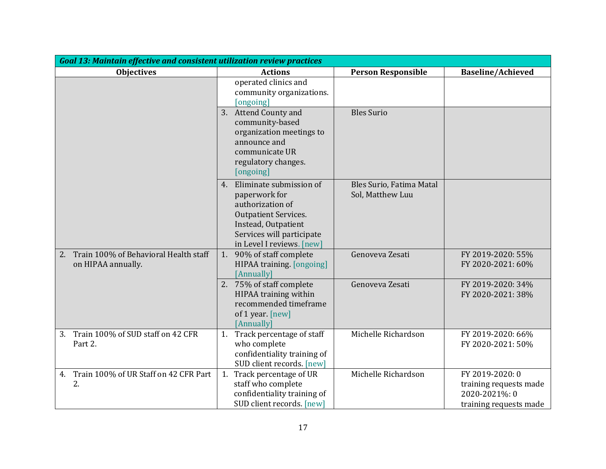| <b>Goal 13: Maintain effective and consistent utilization review practices</b> |                                                                                                                                                                          |                                              |                                                                                      |  |  |
|--------------------------------------------------------------------------------|--------------------------------------------------------------------------------------------------------------------------------------------------------------------------|----------------------------------------------|--------------------------------------------------------------------------------------|--|--|
| <b>Objectives</b>                                                              | <b>Actions</b>                                                                                                                                                           | <b>Person Responsible</b>                    | <b>Baseline/Achieved</b>                                                             |  |  |
|                                                                                | operated clinics and<br>community organizations.<br>[ongoing]                                                                                                            |                                              |                                                                                      |  |  |
|                                                                                | 3. Attend County and<br>community-based<br>organization meetings to<br>announce and<br>communicate UR<br>regulatory changes.<br>[ongoing]                                | <b>Bles Surio</b>                            |                                                                                      |  |  |
|                                                                                | 4. Eliminate submission of<br>paperwork for<br>authorization of<br>Outpatient Services.<br>Instead, Outpatient<br>Services will participate<br>in Level I reviews. [new] | Bles Surio, Fatima Matal<br>Sol, Matthew Luu |                                                                                      |  |  |
| Train 100% of Behavioral Health staff<br>2.<br>on HIPAA annually.              | 1. 90% of staff complete<br>HIPAA training. [ongoing]<br>[Annually]                                                                                                      | Genoveva Zesati                              | FY 2019-2020: 55%<br>FY 2020-2021: 60%                                               |  |  |
|                                                                                | 2. 75% of staff complete<br>HIPAA training within<br>recommended timeframe<br>of 1 year. [new]<br>[Annually]                                                             | Genoveva Zesati                              | FY 2019-2020: 34%<br>FY 2020-2021: 38%                                               |  |  |
| Train 100% of SUD staff on 42 CFR<br>3.<br>Part 2.                             | Track percentage of staff<br>1.<br>who complete<br>confidentiality training of<br>SUD client records. [new]                                                              | Michelle Richardson                          | FY 2019-2020: 66%<br>FY 2020-2021: 50%                                               |  |  |
| Train 100% of UR Staff on 42 CFR Part<br>4.<br>2.                              | 1. Track percentage of UR<br>staff who complete<br>confidentiality training of<br>SUD client records. [new]                                                              | Michelle Richardson                          | FY 2019-2020: 0<br>training requests made<br>2020-2021%: 0<br>training requests made |  |  |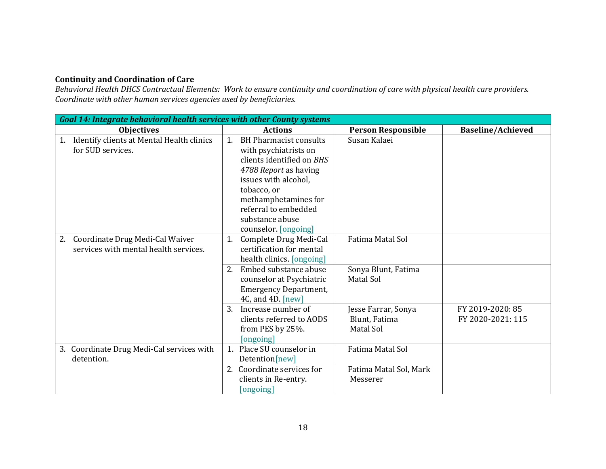## **Continuity and Coordination of Care**

*Behavioral Health DHCS Contractual Elements: Work to ensure continuity and coordination of care with physical health care providers. Coordinate with other human services agencies used by beneficiaries.*

| <b>Goal 14: Integrate behavioral health services with other County systems</b> |                                                                                                                                                                                                                              |                                                   |                                       |  |  |  |
|--------------------------------------------------------------------------------|------------------------------------------------------------------------------------------------------------------------------------------------------------------------------------------------------------------------------|---------------------------------------------------|---------------------------------------|--|--|--|
| <b>Objectives</b>                                                              | <b>Actions</b>                                                                                                                                                                                                               | <b>Person Responsible</b>                         | <b>Baseline/Achieved</b>              |  |  |  |
| Identify clients at Mental Health clinics<br>1.<br>for SUD services.           | <b>BH Pharmacist consults</b><br>1.<br>with psychiatrists on<br>clients identified on BHS<br>4788 Report as having<br>issues with alcohol,<br>tobacco, or<br>methamphetamines for<br>referral to embedded<br>substance abuse | Susan Kalaei                                      |                                       |  |  |  |
|                                                                                | counselor. [ongoing]                                                                                                                                                                                                         |                                                   |                                       |  |  |  |
| Coordinate Drug Medi-Cal Waiver<br>2.<br>services with mental health services. | Complete Drug Medi-Cal<br>1.<br>certification for mental<br>health clinics. [ongoing]                                                                                                                                        | Fatima Matal Sol                                  |                                       |  |  |  |
|                                                                                | Embed substance abuse<br>2.<br>counselor at Psychiatric<br><b>Emergency Department,</b><br>4C, and 4D. [new]                                                                                                                 | Sonya Blunt, Fatima<br>Matal Sol                  |                                       |  |  |  |
|                                                                                | Increase number of<br>3.<br>clients referred to AODS<br>from PES by 25%.<br>[ongoing]                                                                                                                                        | Jesse Farrar, Sonya<br>Blunt, Fatima<br>Matal Sol | FY 2019-2020: 85<br>FY 2020-2021: 115 |  |  |  |
| 3. Coordinate Drug Medi-Cal services with<br>detention.                        | 1. Place SU counselor in<br>Detention[new]                                                                                                                                                                                   | Fatima Matal Sol                                  |                                       |  |  |  |
|                                                                                | Coordinate services for<br>2.<br>clients in Re-entry.<br>[ongoing]                                                                                                                                                           | Fatima Matal Sol, Mark<br>Messerer                |                                       |  |  |  |